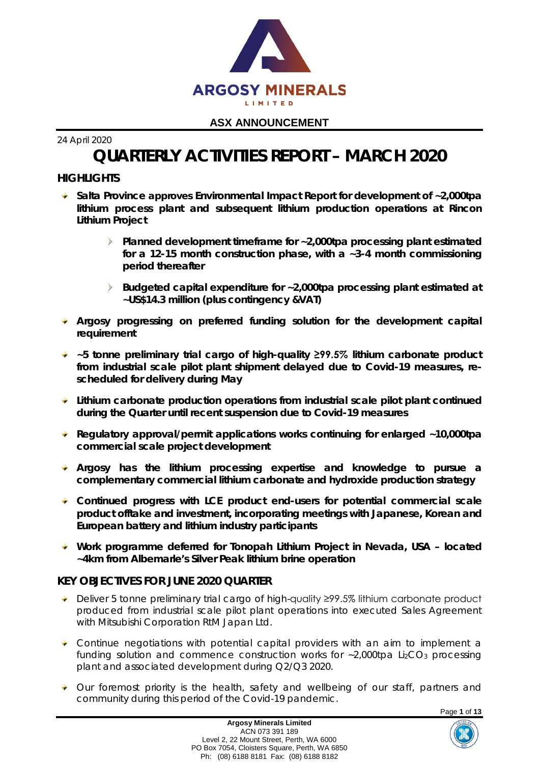

24 April 2020

# **QUARTERLY ACTIVITIES REPORT – MARCH 2020**

# **HIGHLIGHTS**

- **Salta Province approves Environmental Impact Report for development of ~2,000tpa lithium process plant and subsequent lithium production operations at Rincon Lithium Project**
	- $\triangleright$ **Planned development timeframe for ~2,000tpa processing plant estimated for a 12-15 month construction phase, with a ~3-4 month commissioning period thereafter**
	- **Budgeted capital expenditure for ~2,000tpa processing plant estimated at ~US\$14.3 million (plus contingency &VAT)**
- **Argosy progressing on preferred funding solution for the development capital requirement**
- **~5 tonne preliminary trial cargo of high-quality ≥99.5% lithium carbonate product from industrial scale pilot plant shipment delayed due to Covid-19 measures, rescheduled for delivery during May**
- **Lithium carbonate production operations from industrial scale pilot plant continued during the Quarter until recent suspension due to Covid-19 measures**
- **Regulatory approval/permit applications works continuing for enlarged ~10,000tpa commercial scale project development**
- **Argosy has the lithium processing expertise and knowledge to pursue a complementary commercial lithium carbonate and hydroxide production strategy**
- **Continued progress with LCE product end-users for potential commercial scale product offtake and investment, incorporating meetings with Japanese, Korean and European battery and lithium industry participants**
- **Work programme deferred for Tonopah Lithium Project in Nevada, USA – located ~4km from Albemarle's Silver Peak lithium brine operation**

## **KEY OBJECTIVES FOR JUNE 2020 QUARTER**

- Deliver 5 tonne preliminary trial cargo of high-quality ≥99.5% lithium carbonate product produced from industrial scale pilot plant operations into executed Sales Agreement with Mitsubishi Corporation RtM Japan Ltd.
- Continue negotiations with potential capital providers with an aim to implement a funding solution and commence construction works for  $-2,000$ tpa Li<sub>2</sub>CO<sub>3</sub> processing plant and associated development during Q2/Q3 2020.
- Our foremost priority is the health, safety and wellbeing of our staff, partners and community during this period of the Covid‐19 pandemic.

Page **1** of **13**

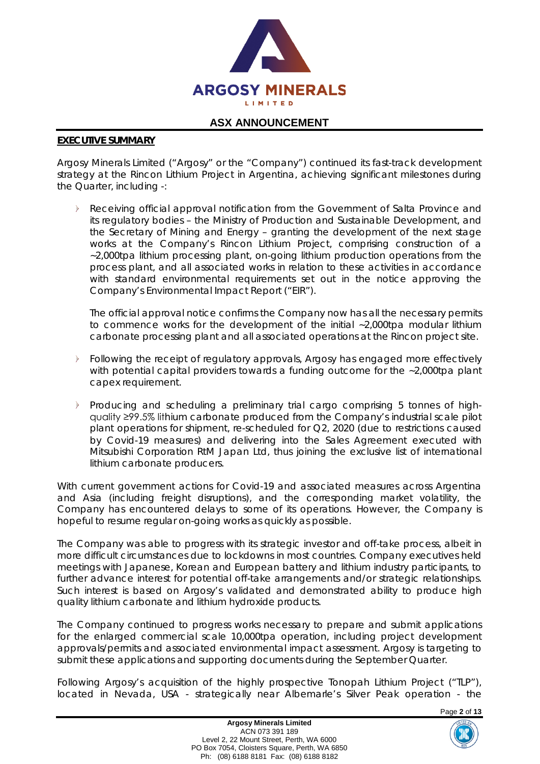

#### **EXECUTIVE SUMMARY**

Argosy Minerals Limited ("Argosy" or the "Company") continued its fast-track development strategy at the Rincon Lithium Project in Argentina, achieving significant milestones during the Quarter, including -:

 $\sum_{i=1}^{n}$ Receiving official approval notification from the Government of Salta Province and its regulatory bodies – the Ministry of Production and Sustainable Development, and the Secretary of Mining and Energy – granting the development of the next stage works at the Company's Rincon Lithium Project, comprising construction of a ~2,000tpa lithium processing plant, on-going lithium production operations from the process plant, and all associated works in relation to these activities in accordance with standard environmental requirements set out in the notice approving the Company's Environmental Impact Report ("EIR").

The official approval notice confirms the Company now has all the necessary permits to commence works for the development of the initial ~2,000tpa modular lithium carbonate processing plant and all associated operations at the Rincon project site.

- Following the receipt of regulatory approvals, Argosy has engaged more effectively with potential capital providers towards a funding outcome for the ~2,000tpa plant capex requirement.
- $\triangleright$ Producing and scheduling a preliminary trial cargo comprising 5 tonnes of highquality ≥99.5% lithium carbonate produced from the Company's industrial scale pilot plant operations for shipment, re-scheduled for Q2, 2020 (due to restrictions caused by Covid-19 measures) and delivering into the Sales Agreement executed with Mitsubishi Corporation RtM Japan Ltd, thus joining the exclusive list of international lithium carbonate producers.

With current government actions for Covid-19 and associated measures across Argentina and Asia (including freight disruptions), and the corresponding market volatility, the Company has encountered delays to some of its operations. However, the Company is hopeful to resume regular on-going works as quickly as possible.

The Company was able to progress with its strategic investor and off-take process, albeit in more difficult circumstances due to lockdowns in most countries. Company executives held meetings with Japanese, Korean and European battery and lithium industry participants, to further advance interest for potential off-take arrangements and/or strategic relationships. Such interest is based on Argosy's validated and demonstrated ability to produce high quality lithium carbonate and lithium hydroxide products.

The Company continued to progress works necessary to prepare and submit applications for the enlarged commercial scale 10,000tpa operation, including project development approvals/permits and associated environmental impact assessment. Argosy is targeting to submit these applications and supporting documents during the September Quarter.

Following Argosy's acquisition of the highly prospective Tonopah Lithium Project ("TLP"), located in Nevada, USA - strategically near Albemarle's Silver Peak operation - the

Page **2** of **13**

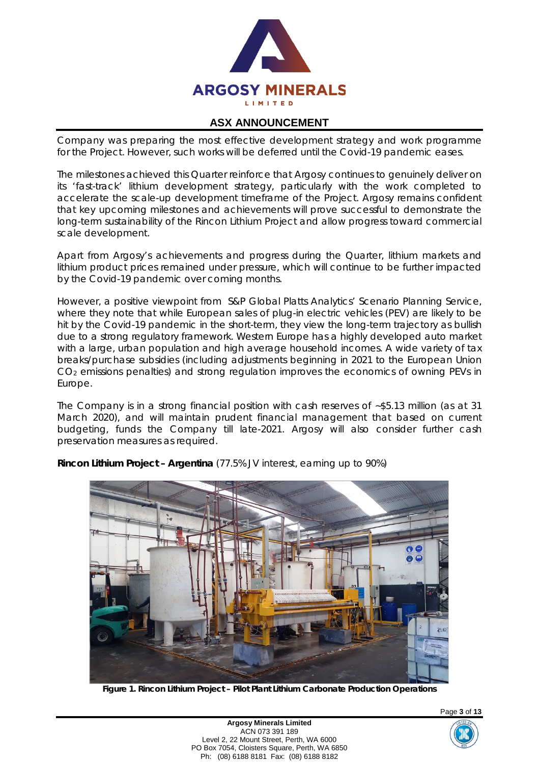

Company was preparing the most effective development strategy and work programme for the Project. However, such works will be deferred until the Covid-19 pandemic eases.

The milestones achieved this Quarter reinforce that Argosy continues to genuinely deliver on its 'fast-track' lithium development strategy, particularly with the work completed to accelerate the scale-up development timeframe of the Project. Argosy remains confident that key upcoming milestones and achievements will prove successful to demonstrate the long-term sustainability of the Rincon Lithium Project and allow progress toward commercial scale development.

Apart from Argosy's achievements and progress during the Quarter, lithium markets and lithium product prices remained under pressure, which will continue to be further impacted by the Covid-19 pandemic over coming months.

However, a positive viewpoint from S&P Global Platts Analytics' Scenario Planning Service, where they note that while European sales of plug-in electric vehicles (PEV) are likely to be hit by the Covid-19 pandemic in the short-term, they view the long-term trajectory as bullish due to a strong regulatory framework. Western Europe has a highly developed auto market with a large, urban population and high average household incomes. A wide variety of tax breaks/purchase subsidies (including adjustments beginning in 2021 to the European Union CO2 emissions penalties) and strong regulation improves the economics of owning PEVs in Europe.

The Company is in a strong financial position with cash reserves of ~\$5.13 million (as at 31 March 2020), and will maintain prudent financial management that based on current budgeting, funds the Company till late-2021. Argosy will also consider further cash preservation measures as required.



**Rincon Lithium Project – Argentina** (77.5% JV interest, earning up to 90%)

**Figure 1. Rincon Lithium Project – Pilot Plant Lithium Carbonate Production Operations**



Page **3** of **13**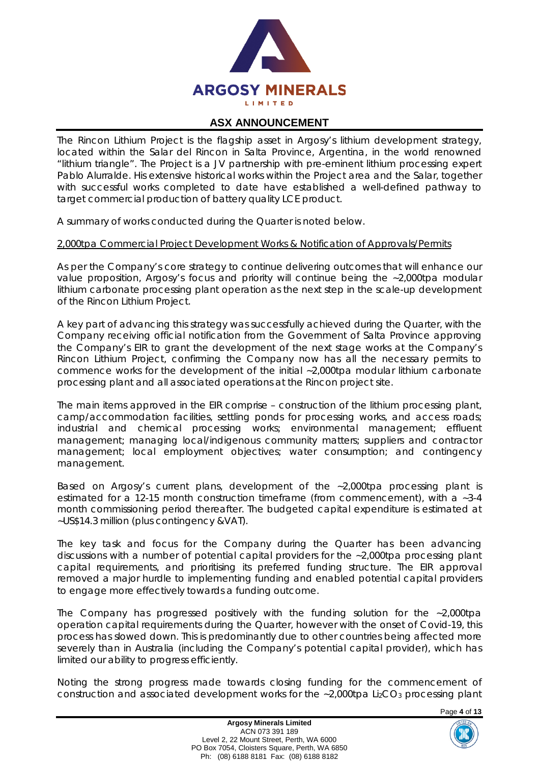

The Rincon Lithium Project is the flagship asset in Argosy's lithium development strategy, located within the Salar del Rincon in Salta Province, Argentina, in the world renowned "lithium triangle". The Project is a JV partnership with pre-eminent lithium processing expert Pablo Alurralde. His extensive historical works within the Project area and the Salar, together with successful works completed to date have established a well-defined pathway to target commercial production of battery quality LCE product.

A summary of works conducted during the Quarter is noted below.

#### *2,000tpa Commercial Project Development Works & Notification of Approvals/Permits*

As per the Company's core strategy to continue delivering outcomes that will enhance our value proposition, Argosy's focus and priority will continue being the ~2,000tpa modular lithium carbonate processing plant operation as the next step in the scale-up development of the Rincon Lithium Project.

A key part of advancing this strategy was successfully achieved during the Quarter, with the Company receiving official notification from the Government of Salta Province approving the Company's EIR to grant the development of the next stage works at the Company's Rincon Lithium Project, confirming the Company now has all the necessary permits to commence works for the development of the initial ~2,000tpa modular lithium carbonate processing plant and all associated operations at the Rincon project site.

The main items approved in the EIR comprise – construction of the lithium processing plant, camp/accommodation facilities, settling ponds for processing works, and access roads; industrial and chemical processing works; environmental management; effluent management; managing local/indigenous community matters; suppliers and contractor management; local employment objectives; water consumption; and contingency management.

Based on Argosy's current plans, development of the ~2,000tpa processing plant is estimated for a 12-15 month construction timeframe (from commencement), with a ~3-4 month commissioning period thereafter. The budgeted capital expenditure is estimated at ~US\$14.3 million (plus contingency &VAT).

The key task and focus for the Company during the Quarter has been advancing discussions with a number of potential capital providers for the ~2,000tpa processing plant capital requirements, and prioritising its preferred funding structure. The EIR approval removed a major hurdle to implementing funding and enabled potential capital providers to engage more effectively towards a funding outcome.

The Company has progressed positively with the funding solution for the ~2,000tpa operation capital requirements during the Quarter, however with the onset of Covid-19, this process has slowed down. This is predominantly due to other countries being affected more severely than in Australia (including the Company's potential capital provider), which has limited our ability to progress efficiently.

Noting the strong progress made towards closing funding for the commencement of construction and associated development works for the  $-2,000$ tpa Li<sub>2</sub>CO<sub>3</sub> processing plant

Page **4** of **13**

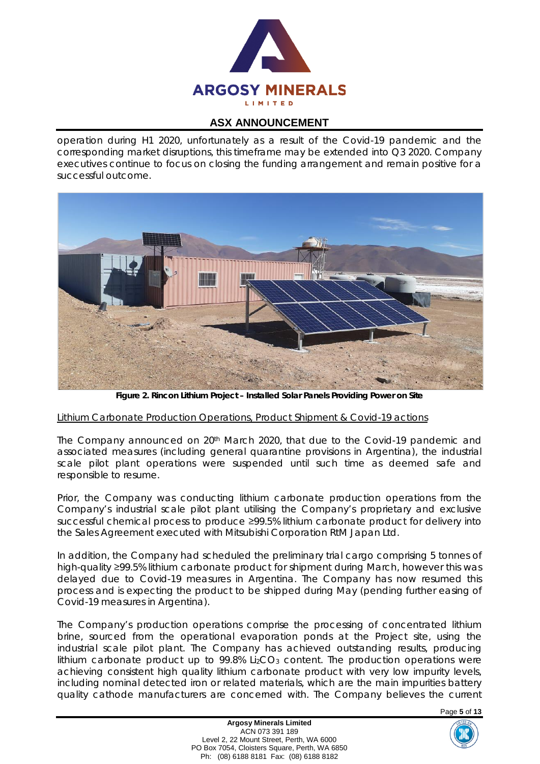

operation during H1 2020, unfortunately as a result of the Covid-19 pandemic and the corresponding market disruptions, this timeframe may be extended into Q3 2020. Company executives continue to focus on closing the funding arrangement and remain positive for a successful outcome.



**Figure 2. Rincon Lithium Project – Installed Solar Panels Providing Power on Site**

## *Lithium Carbonate Production Operations, Product Shipment & Covid-19 actions*

The Company announced on 20th March 2020, that due to the Covid-19 pandemic and associated measures (including general quarantine provisions in Argentina), the industrial scale pilot plant operations were suspended until such time as deemed safe and responsible to resume.

Prior, the Company was conducting lithium carbonate production operations from the Company's industrial scale pilot plant utilising the Company's proprietary and exclusive successful chemical process to produce ≥99.5% lithium carbonate product for delivery into the Sales Agreement executed with Mitsubishi Corporation RtM Japan Ltd.

In addition, the Company had scheduled the preliminary trial cargo comprising 5 tonnes of high-quality ≥99.5% lithium carbonate product for shipment during March, however this was delayed due to Covid-19 measures in Argentina. The Company has now resumed this process and is expecting the product to be shipped during May (pending further easing of Covid-19 measures in Argentina).

The Company's production operations comprise the processing of concentrated lithium brine, sourced from the operational evaporation ponds at the Project site, using the industrial scale pilot plant. The Company has achieved outstanding results, producing lithium carbonate product up to  $99.8\%$  Li<sub>2</sub>CO<sub>3</sub> content. The production operations were achieving consistent high quality lithium carbonate product with very low impurity levels, including nominal detected iron or related materials, which are the main impurities battery quality cathode manufacturers are concerned with. The Company believes the current

Page **5** of **13**

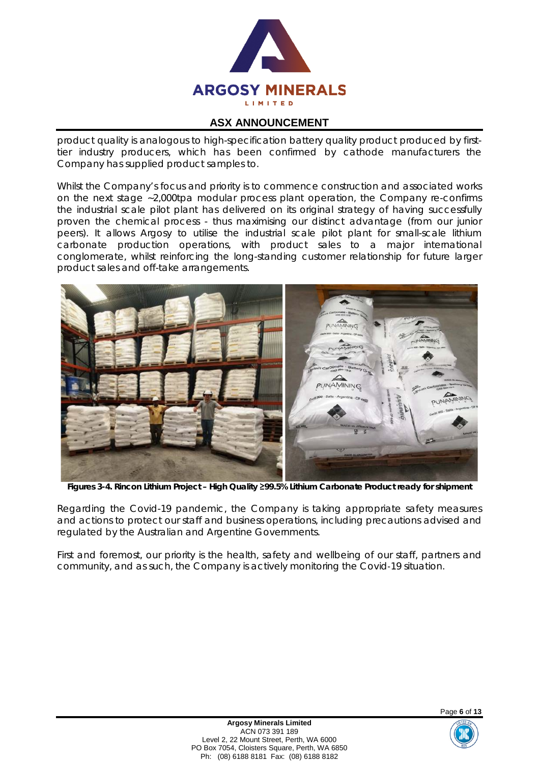

product quality is analogous to high-specification battery quality product produced by firsttier industry producers, which has been confirmed by cathode manufacturers the Company has supplied product samples to.

Whilst the Company's focus and priority is to commence construction and associated works on the next stage ~2,000tpa modular process plant operation, the Company re-confirms the industrial scale pilot plant has delivered on its original strategy of having successfully proven the chemical process - thus maximising our distinct advantage (from our junior peers). It allows Argosy to utilise the industrial scale pilot plant for small-scale lithium carbonate production operations, with product sales to a major international conglomerate, whilst reinforcing the long-standing customer relationship for future larger product sales and off-take arrangements.



**Figures 3-4. Rincon Lithium Project – High Quality ≥99.5% Lithium Carbonate Product ready for shipment**

Regarding the Covid-19 pandemic, the Company is taking appropriate safety measures and actions to protect our staff and business operations, including precautions advised and regulated by the Australian and Argentine Governments.

First and foremost, our priority is the health, safety and wellbeing of our staff, partners and community, and as such, the Company is actively monitoring the Covid‐19 situation.

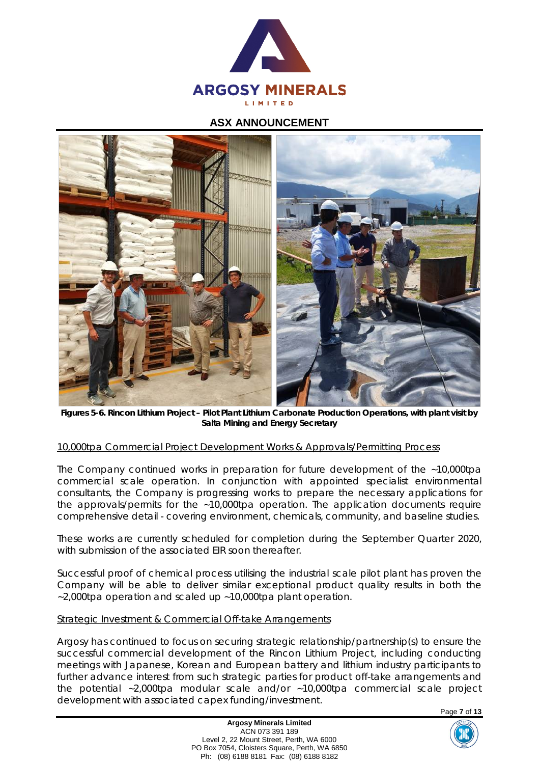



**Figures 5-6. Rincon Lithium Project – Pilot Plant Lithium Carbonate Production Operations, with plant visit by Salta Mining and Energy Secretary**

#### *10,000tpa Commercial Project Development Works & Approvals/Permitting Process*

The Company continued works in preparation for future development of the ~10,000tpa commercial scale operation. In conjunction with appointed specialist environmental consultants, the Company is progressing works to prepare the necessary applications for the approvals/permits for the ~10,000tpa operation. The application documents require comprehensive detail - covering environment, chemicals, community, and baseline studies.

These works are currently scheduled for completion during the September Quarter 2020, with submission of the associated FIR soon thereafter.

Successful proof of chemical process utilising the industrial scale pilot plant has proven the Company will be able to deliver similar exceptional product quality results in both the ~2,000tpa operation and scaled up ~10,000tpa plant operation.

#### *Strategic Investment & Commercial Off-take Arrangements*

Argosy has continued to focus on securing strategic relationship/partnership(s) to ensure the successful commercial development of the Rincon Lithium Project, including conducting meetings with Japanese, Korean and European battery and lithium industry participants to further advance interest from such strategic parties for product off-take arrangements and the potential ~2,000tpa modular scale and/or ~10,000tpa commercial scale project development with associated capex funding/investment.



**Argosy Minerals Limited** ACN 073 391 189 Level 2, 22 Mount Street, Perth, WA 6000 PO Box 7054, Cloisters Square, Perth, WA 6850 Ph: (08) 6188 8181 Fax: (08) 6188 8182

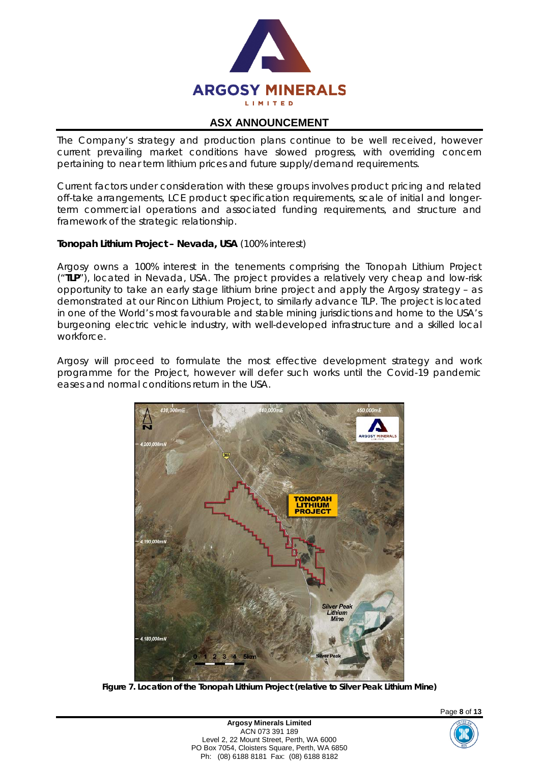

The Company's strategy and production plans continue to be well received, however current prevailing market conditions have slowed progress, with overriding concern pertaining to near term lithium prices and future supply/demand requirements.

Current factors under consideration with these groups involves product pricing and related off-take arrangements, LCE product specification requirements, scale of initial and longerterm commercial operations and associated funding requirements, and structure and framework of the strategic relationship.

#### **Tonopah Lithium Project – Nevada, USA** (100% interest)

Argosy owns a 100% interest in the tenements comprising the Tonopah Lithium Project ("**TLP**"), located in Nevada, USA. The project provides a relatively very cheap and low-risk opportunity to take an early stage lithium brine project and apply the Argosy strategy – as demonstrated at our Rincon Lithium Project, to similarly advance TLP. The project is located in one of the World's most favourable and stable mining jurisdictions and home to the USA's burgeoning electric vehicle industry, with well-developed infrastructure and a skilled local workforce.

Argosy will proceed to formulate the most effective development strategy and work programme for the Project, however will defer such works until the Covid-19 pandemic eases and normal conditions return in the USA.



**Figure 7. Location of the Tonopah Lithium Project (relative to Silver Peak Lithium Mine)**



Page **8** of **13**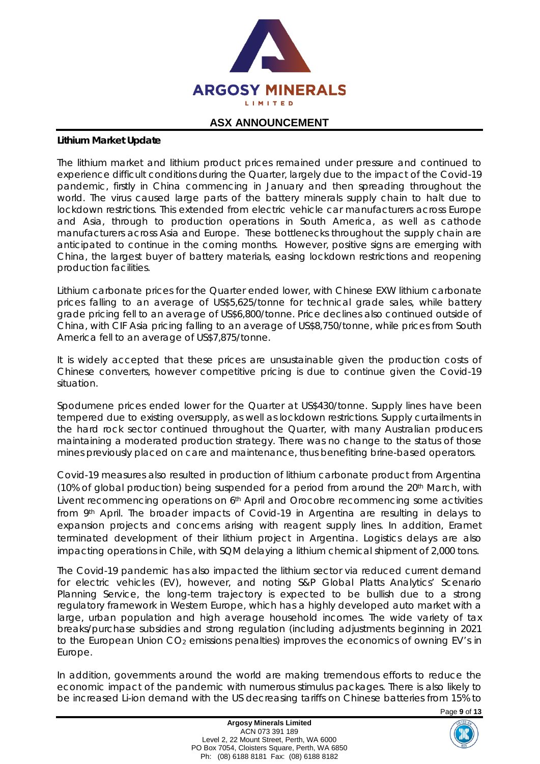

#### **Lithium Market Update**

The lithium market and lithium product prices remained under pressure and continued to experience difficult conditions during the Quarter, largely due to the impact of the Covid-19 pandemic, firstly in China commencing in January and then spreading throughout the world. The virus caused large parts of the battery minerals supply chain to halt due to lockdown restrictions. This extended from electric vehicle car manufacturers across Europe and Asia, through to production operations in South America, as well as cathode manufacturers across Asia and Europe. These bottlenecks throughout the supply chain are anticipated to continue in the coming months. However, positive signs are emerging with China, the largest buyer of battery materials, easing lockdown restrictions and reopening production facilities.

Lithium carbonate prices for the Quarter ended lower, with Chinese EXW lithium carbonate prices falling to an average of US\$5,625/tonne for technical grade sales, while battery grade pricing fell to an average of US\$6,800/tonne. Price declines also continued outside of China, with CIF Asia pricing falling to an average of US\$8,750/tonne, while prices from South America fell to an average of US\$7,875/tonne.

It is widely accepted that these prices are unsustainable given the production costs of Chinese converters, however competitive pricing is due to continue given the Covid-19 situation.

Spodumene prices ended lower for the Quarter at US\$430/tonne. Supply lines have been tempered due to existing oversupply, as well as lockdown restrictions. Supply curtailments in the hard rock sector continued throughout the Quarter, with many Australian producers maintaining a moderated production strategy. There was no change to the status of those mines previously placed on care and maintenance, thus benefiting brine-based operators.

Covid-19 measures also resulted in production of lithium carbonate product from Argentina (10% of global production) being suspended for a period from around the 20<sup>th</sup> March, with Livent recommencing operations on 6<sup>th</sup> April and Orocobre recommencing some activities from 9th April. The broader impacts of Covid-19 in Argentina are resulting in delays to expansion projects and concerns arising with reagent supply lines. In addition, Eramet terminated development of their lithium project in Argentina. Logistics delays are also impacting operations in Chile, with SQM delaying a lithium chemical shipment of 2,000 tons.

The Covid-19 pandemic has also impacted the lithium sector via reduced current demand for electric vehicles (EV), however, and noting S&P Global Platts Analytics' Scenario Planning Service, the long-term trajectory is expected to be bullish due to a strong regulatory framework in Western Europe, which has a highly developed auto market with a large, urban population and high average household incomes. The wide variety of tax breaks/purchase subsidies and strong regulation (including adjustments beginning in 2021 to the European Union  $CO<sub>2</sub>$  emissions penalties) improves the economics of owning EV's in Europe.

In addition, governments around the world are making tremendous efforts to reduce the economic impact of the pandemic with numerous stimulus packages. There is also likely to be increased Li-ion demand with the US decreasing tariffs on Chinese batteries from 15% to

Page **9** of **13**

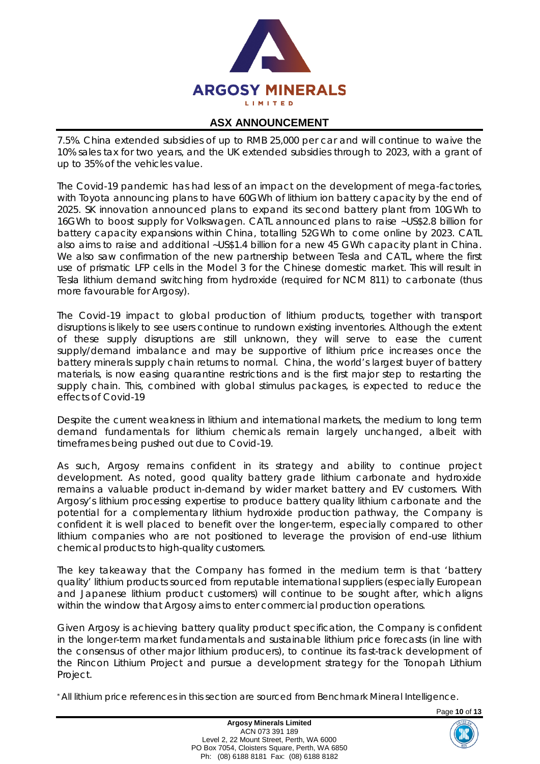

7.5%. China extended subsidies of up to RMB 25,000 per car and will continue to waive the 10% sales tax for two years, and the UK extended subsidies through to 2023, with a grant of up to 35% of the vehicles value.

The Covid-19 pandemic has had less of an impact on the development of mega-factories, with Toyota announcing plans to have 60GWh of lithium ion battery capacity by the end of 2025. SK innovation announced plans to expand its second battery plant from 10GWh to 16GWh to boost supply for Volkswagen. CATL announced plans to raise ~US\$2.8 billion for battery capacity expansions within China, totalling 52GWh to come online by 2023. CATL also aims to raise and additional ~US\$1.4 billion for a new 45 GWh capacity plant in China. We also saw confirmation of the new partnership between Tesla and CATL, where the first use of prismatic LFP cells in the Model 3 for the Chinese domestic market. This will result in Tesla lithium demand switching from hydroxide (required for NCM 811) to carbonate (thus more favourable for Argosy).

The Covid-19 impact to global production of lithium products, together with transport disruptions is likely to see users continue to rundown existing inventories. Although the extent of these supply disruptions are still unknown, they will serve to ease the current supply/demand imbalance and may be supportive of lithium price increases once the battery minerals supply chain returns to normal. China, the world's largest buyer of battery materials, is now easing quarantine restrictions and is the first major step to restarting the supply chain. This, combined with global stimulus packages, is expected to reduce the effects of Covid-19

Despite the current weakness in lithium and international markets, the medium to long term demand fundamentals for lithium chemicals remain largely unchanged, albeit with timeframes being pushed out due to Covid-19.

As such, Argosy remains confident in its strategy and ability to continue project development. As noted, good quality battery grade lithium carbonate and hydroxide remains a valuable product in-demand by wider market battery and EV customers. With Argosy's lithium processing expertise to produce battery quality lithium carbonate and the potential for a complementary lithium hydroxide production pathway, the Company is confident it is well placed to benefit over the longer-term, especially compared to other lithium companies who are not positioned to leverage the provision of end-use lithium chemical products to high-quality customers.

The key takeaway that the Company has formed in the medium term is that 'battery quality' lithium products sourced from reputable international suppliers (especially European and Japanese lithium product customers) will continue to be sought after, which aligns within the window that Argosy aims to enter commercial production operations.

Given Argosy is achieving battery quality product specification, the Company is confident in the longer-term market fundamentals and sustainable lithium price forecasts (in line with the consensus of other major lithium producers), to continue its fast-track development of the Rincon Lithium Project and pursue a development strategy for the Tonopah Lithium Project.

\* All lithium price references in this section are sourced from Benchmark Mineral Intelligence.

Page **10** of **13**

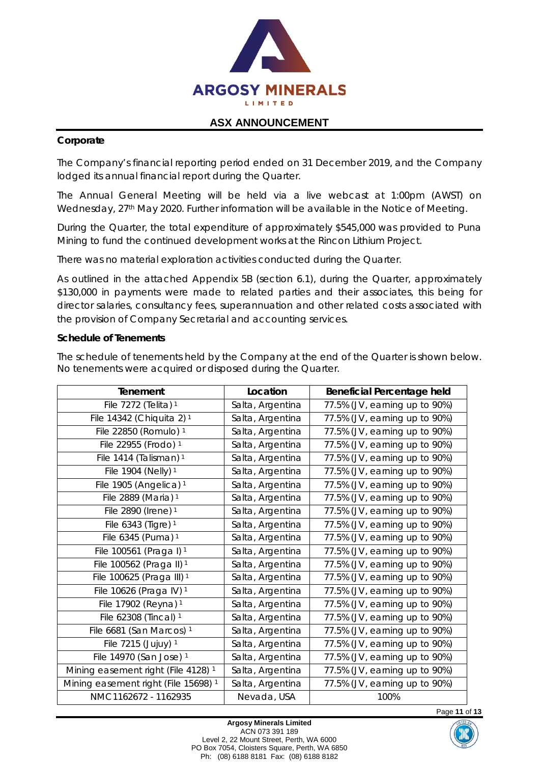

## **Corporate**

The Company's financial reporting period ended on 31 December 2019, and the Company lodged its annual financial report during the Quarter.

The Annual General Meeting will be held via a live webcast at 1:00pm (AWST) on Wednesday, 27<sup>th</sup> May 2020. Further information will be available in the Notice of Meeting.

During the Quarter, the total expenditure of approximately \$545,000 was provided to Puna Mining to fund the continued development works at the Rincon Lithium Project.

There was no material exploration activities conducted during the Quarter.

As outlined in the attached Appendix 5B (section 6.1), during the Quarter, approximately \$130,000 in payments were made to related parties and their associates, this being for director salaries, consultancy fees, superannuation and other related costs associated with the provision of Company Secretarial and accounting services.

#### **Schedule of Tenements**

The schedule of tenements held by the Company at the end of the Quarter is shown below. No tenements were acquired or disposed during the Quarter.

| Tenement                                        | Location         | Beneficial Percentage held    |
|-------------------------------------------------|------------------|-------------------------------|
| File 7272 (Telita) 1                            | Salta, Argentina | 77.5% (JV, earning up to 90%) |
| File 14342 (Chiquita 2) <sup>1</sup>            | Salta, Argentina | 77.5% (JV, earning up to 90%) |
| File 22850 (Romulo) 1                           | Salta, Argentina | 77.5% (JV, earning up to 90%) |
| File 22955 (Frodo) 1                            | Salta, Argentina | 77.5% (JV, earning up to 90%) |
| File 1414 (Talisman) <sup>1</sup>               | Salta, Argentina | 77.5% (JV, earning up to 90%) |
| File 1904 (Nelly) 1                             | Salta, Argentina | 77.5% (JV, earning up to 90%) |
| File 1905 (Angelica) <sup>1</sup>               | Salta, Argentina | 77.5% (JV, earning up to 90%) |
| File 2889 (Maria) <sup>1</sup>                  | Salta, Argentina | 77.5% (JV, earning up to 90%) |
| File 2890 (Irene) 1                             | Salta, Argentina | 77.5% (JV, earning up to 90%) |
| File 6343 (Tigre) 1                             | Salta, Argentina | 77.5% (JV, earning up to 90%) |
| File 6345 (Puma) 1                              | Salta, Argentina | 77.5% (JV, earning up to 90%) |
| File 100561 (Praga I) <sup>1</sup>              | Salta, Argentina | 77.5% (JV, earning up to 90%) |
| File 100562 (Praga II) <sup>1</sup>             | Salta, Argentina | 77.5% (JV, earning up to 90%) |
| File 100625 (Praga III) <sup>1</sup>            | Salta, Argentina | 77.5% (JV, earning up to 90%) |
| File 10626 (Praga IV) 1                         | Salta, Argentina | 77.5% (JV, earning up to 90%) |
| File 17902 (Reyna) 1                            | Salta, Argentina | 77.5% (JV, earning up to 90%) |
| File 62308 (Tincal) 1                           | Salta, Argentina | 77.5% (JV, earning up to 90%) |
| File 6681 (San Marcos) <sup>1</sup>             | Salta, Argentina | 77.5% (JV, earning up to 90%) |
| File 7215 (Jujuy) 1                             | Salta, Argentina | 77.5% (JV, earning up to 90%) |
| File 14970 (San Jose) 1                         | Salta, Argentina | 77.5% (JV, earning up to 90%) |
| Mining easement right (File 4128) <sup>1</sup>  | Salta, Argentina | 77.5% (JV, earning up to 90%) |
| Mining easement right (File 15698) <sup>1</sup> | Salta, Argentina | 77.5% (JV, earning up to 90%) |
| NMC1162672 - 1162935                            | Nevada, USA      | 100%                          |

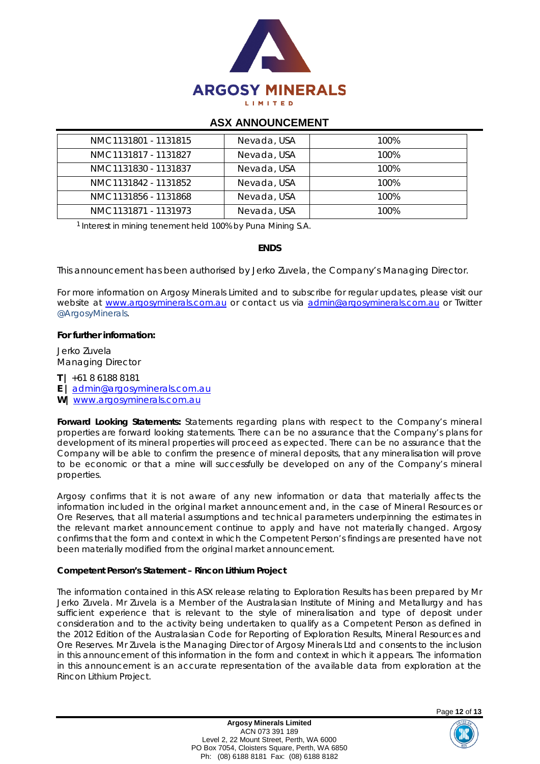

| NMC1131801 - 1131815 | Nevada, USA | 100% |
|----------------------|-------------|------|
| NMC1131817 - 1131827 | Nevada, USA | 100% |
| NMC1131830 - 1131837 | Nevada, USA | 100% |
| NMC1131842 - 1131852 | Nevada, USA | 100% |
| NMC1131856 - 1131868 | Nevada, USA | 100% |
| NMC1131871 - 1131973 | Nevada, USA | 100% |

<sup>1</sup> Interest in mining tenement held 100% by Puna Mining S.A.

#### **ENDS**

*This announcement has been authorised by Jerko Zuvela, the Company's Managing Director.*

For more information on Argosy Minerals Limited and to subscribe for regular updates, please visit our *website at [www.argosyminerals.com.au](http://www.argosyminerals.com.au/) or contact us via [admin@argosyminerals.com.au](mailto:admin@argosyminerals.com.au) or* Twitter *[@ArgosyMinerals](https://twitter.com/ArgosyMinerals)*.

#### **For further information:**

Jerko Zuvela Managing Director

**T |** +61 8 6188 8181 **E |** [admin@argosyminerals.com.au](mailto:admin@argosyminerals.com.au)

**W|** [www.argosyminerals.com.au](http://www.argosyminerals.com.au/)

**Forward Looking Statements:** Statements regarding plans with respect to the Company's mineral properties are forward looking statements. There can be no assurance that the Company's plans for development of its mineral properties will proceed as expected. There can be no assurance that the Company will be able to confirm the presence of mineral deposits, that any mineralisation will prove to be economic or that a mine will successfully be developed on any of the Company's mineral properties.

Argosy confirms that it is not aware of any new information or data that materially affects the information included in the original market announcement and, in the case of Mineral Resources or Ore Reserves, that all material assumptions and technical parameters underpinning the estimates in the relevant market announcement continue to apply and have not materially changed. Argosy confirms that the form and context in which the Competent Person's findings are presented have not been materially modified from the original market announcement.

#### **Competent Person's Statement – Rincon Lithium Project**

The information contained in this ASX release relating to Exploration Results has been prepared by Mr Jerko Zuvela. Mr Zuvela is a Member of the Australasian Institute of Mining and Metallurgy and has sufficient experience that is relevant to the style of mineralisation and type of deposit under consideration and to the activity being undertaken to qualify as a Competent Person as defined in the 2012 Edition of the Australasian Code for Reporting of Exploration Results, Mineral Resources and Ore Reserves. Mr Zuvela is the Managing Director of Argosy Minerals Ltd and consents to the inclusion in this announcement of this information in the form and context in which it appears. The information in this announcement is an accurate representation of the available data from exploration at the Rincon Lithium Project.

Page **12** of **13**